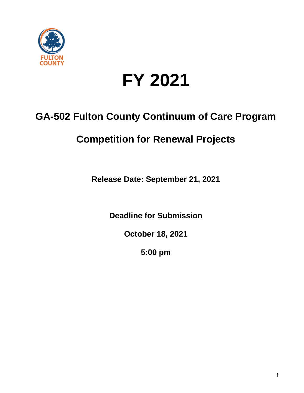

# **FY 2021**

# **GA-502 Fulton County Continuum of Care Program**

# **Competition for Renewal Projects**

**Release Date: September 21, 2021**

**Deadline for Submission**

**October 18, 2021**

**5:00 pm**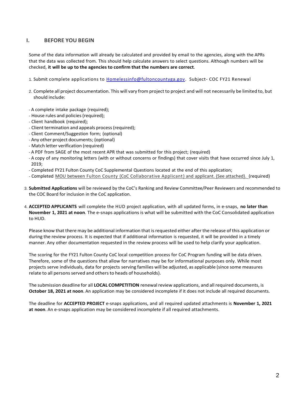# **I. BEFORE YOU BEGIN**

Some of the data information will already be calculated and provided by email to the agencies, along with the APRs that the data was collected from. This should help calculate answers to select questions. Although numbers will be checked, **it will be up to the agencies to confirm that the numbers are correct**.

- 1. Submit complete applications to [Homelessinfo@fultoncountyga.gov.](mailto:Homelessinfo@fultoncountyga.gov) Subject- COC FY21 Renewal
- 2. Complete all project documentation. This will vary from project to project and will not necessarily be limited to, but should include:
- A complete intake package (required);
- House rules and policies(required);
- Client handbook (required);
- Client termination and appeals process(required);
- Client Comment/Suggestion form; (optional)
- Any other project documents; (optional)
- Match letter verification (required)
- A PDF from SAGE of the most recent APR that was submitted for this project; (required)
- A copy of any monitoring letters (with or without concerns or findings) that cover visits that have occurred since July 1, 2019;
- Completed FY21 Fulton County CoC Supplemental Questions located at the end of this application;
- Completed MOU between Fulton County (CoC [Collaborative Applicant\)](https://partnersforhome.org/hud-funding/) and applicant. (See attached). (required)
- 3. **Submitted Applications** will be reviewed by the CoC's Ranking and Review Committee/Peer Reviewers and recommended to the COC Board for inclusion in the CoC application.
- 4. **ACCEPTED APPLICANTS** will complete the HUD project application, with all updated forms, in e-snaps, **no later than November 1, 2021 at noon**. The e-snaps applications is what will be submitted with the CoC Consolidated application to HUD.

Please know that there may be additional information that is requested either after the release of this application or during the review process. It is expected that if additional information is requested, it will be provided in a timely manner. Any other documentation requested in the review process will be used to help clarify your application.

The scoring for the FY21 Fulton County CoC local competition process for CoC Program funding will be data driven. Therefore, some of the questions that allow for narratives may be for informational purposes only. While most projects serve individuals, data for projects serving families will be adjusted, as applicable (since some measures relate to all persons served and others to heads of households).

The submission deadline for all **LOCAL COMPETITION** renewalreview applications, and all required documents, is **October 18, 2021 at noon**. An application may be considered incomplete if it does not include all required documents.

The deadline for **ACCEPTED PROJECT** e-snaps applications, and all required updated attachments is **November 1, 2021 at noon**. An e-snaps application may be considered incomplete if all required attachments.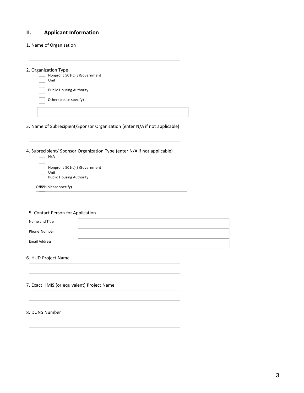# **II. Applicant Information**

1. Name of Organization

#### 2. Organization Type



# 3. Name of Subrecipient/Sponsor Organization (enter N/A if not applicable)

4. Subrecipient/ Sponsor Organization Type (enter N/A if not applicable)  $\ldots$ 

| N/A                                                                      |
|--------------------------------------------------------------------------|
| Nonprofit 501(c)(3)Government<br>Unit<br><b>Public Housing Authority</b> |
|                                                                          |

Other (please specify)

## 5. Contact Person for Application

| Name and Title       |  |
|----------------------|--|
| Phone Number         |  |
| <b>Email Address</b> |  |

#### 6. HUD Project Name

#### 7. Exact HMIS (or equivalent) Project Name

#### 8. DUNS Number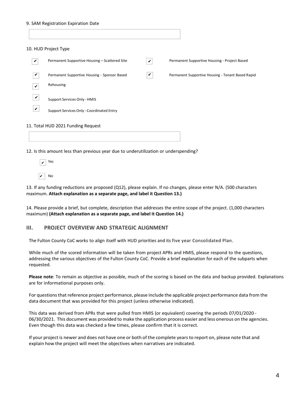#### 9. SAM Registration Expiration Date

|              | 10. HUD Project Type                          |   |                                                   |
|--------------|-----------------------------------------------|---|---------------------------------------------------|
| V            | Permanent Supportive Housing - Scattered Site | V | Permanent Supportive Housing - Project Based      |
| $\checkmark$ | Permanent Supportive Housing - Sponsor Based  | V | Permanent Supportive Housing - Tenant Based Rapid |
| V            | Rehousing                                     |   |                                                   |
| ✓            | Support Services Only - HMIS                  |   |                                                   |
| ✓            | Support Services Only - Coordinated Entry     |   |                                                   |
|              | 11. Total HUD 2021 Funding Request            |   |                                                   |

12. Is this amount less than previous year due to underutilization or underspending?



13. If any funding reductions are proposed (Q12), please explain. If no changes, please enter N/A. (500 characters maximum. **Attach explanation as a separate page, and label it Question 13.)**

14. Please provide a brief, but complete, description that addresses the entire scope of the project. (1,000 characters maximum) **(Attach explanation as a separate page, and label it Question 14.)**

#### **III. PROJECT OVERVIEW AND STRATEGIC ALIGNMENT**

The Fulton County CoC works to align itself with HUD priorities and its five year Consolidated Plan.

While much of the scored information will be taken from project APRs and HMIS, please respond to the questions, addressing the various objectives of the Fulton County CoC. Provide a brief explanation for each of the subparts when requested.

**Please note**: To remain as objective as possible, much of the scoring is based on the data and backup provided. Explanations are for informational purposes only.

For questions that reference project performance, please include the applicable project performance data from the data document that was provided for this project (unless otherwise indicated).

This data was derived from APRs that were pulled from HMIS (or equivalent) covering the periods 07/01/2020 - 06/30/2021. This document was provided to make the application process easier and less onerous on the agencies. Even though this data was checked a few times, please confirm that it is correct.

If your project is newer and does not have one or both of the complete yearsto report on, please note that and explain how the project will meet the objectives when narratives are indicated.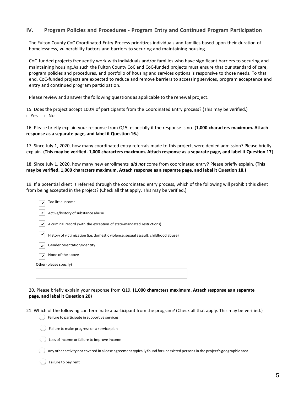# **IV. Program Policies and Procedures - Program Entry and Continued Program Participation**

The Fulton County CoC Coordinated Entry Process prioritizes individuals and families based upon their duration of homelessness, vulnerability factors and barriers to securing and maintaining housing.

CoC-funded projects frequently work with individuals and/or families who have significant barriers to securing and maintaining housing.As such the Fulton County CoC and CoC-funded projects must ensure that our standard of care, program policies and procedures, and portfolio of housing and services options is responsive to those needs. To that end, CoC-funded projects are expected to reduce and remove barriers to accessing services, program acceptance and entry and continued program participation.

Please review and answer the following questions as applicable to the renewal project.

15. Does the project accept 100% of participants from the Coordinated Entry process? (This may be verified.) □ Yes □ No

16. Please briefly explain your response from Q15, especially if the response is no. **(1,000 characters maximum. Attach response as a separate page, and label it Question 16.)**

17. Since July 1, 2020, how many coordinated entry referrals made to this project, were denied admission? Please briefly explain. **(This may be verified. 1,000 characters maximum. Attach response as a separate page, and label it Question 17**)

18. Since July 1, 2020, how many new enrollments *did not* come from coordinated entry? Please briefly explain. **(This may be verified. 1,000 characters maximum. Attach response as a separate page, and label it Question 18.)**

19. If a potential client is referred through the coordinated entry process, which of the following will prohibit this client from being accepted in the project? (Check all that apply. This may be verified.)

| Too little income                                                                  |
|------------------------------------------------------------------------------------|
| Active/history of substance abuse                                                  |
| A criminal record (with the exception of state-mandated restrictions)              |
| History of victimization (i.e. domestic violence, sexual assault, childhood abuse) |
| Gender orientation/identity                                                        |
| None of the above                                                                  |
| Other (please specify)                                                             |
|                                                                                    |

20. Please briefly explain your response from Q19. **(1,000 characters maximum. Attach response as a separate page, and label it Question 20)**

- 21. Which of the following can terminate a participant from the program? (Check all that apply. This may be verified.) Failure to participate in supportive services
	- Failure to make progress on a service plan
	- Loss of income orfailure to improve income

Any other activity not covered in a lease agreement typically found for unassisted personsin the project's geographic area

Failure to pay rent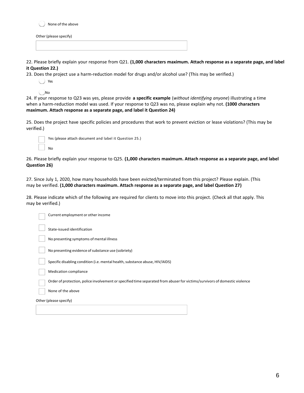

Other (please specify)

22. Please briefly explain your response from Q21. **(1,000 characters maximum. Attach response as a separate page, and label it Question 22.)**

23. Does the project use a harm-reduction model for drugs and/or alcohol use? (This may be verified.)

Yes

No

24. If your response to Q23 was yes, please provide **a specific example** (*without identifying anyone*) illustrating a time when a harm-reduction model was used. If your response to Q23 was no, please explain why not. **(1000 characters maximum. Attach response as a separate page, and label it Question 24)**

25. Does the project have specific policies and procedures that work to prevent eviction or lease violations? (This may be verified.)

| Yes (please attach document and label it Question 25.) |
|--------------------------------------------------------|
| No                                                     |

26. Please briefly explain your response to Q25. **(1,000 characters maximum. Attach response as a separate page, and label Question 26)**

27. Since July 1, 2020, how many households have been evicted/terminated from this project? Please explain. (This may be verified. **(1,000 characters maximum. Attach response as a separate page, and label Question 27)**

28. Please indicate which of the following are required for clients to move into this project. (Check all that apply. This may be verified.)

| Current employment or other income                                                                                         |  |  |
|----------------------------------------------------------------------------------------------------------------------------|--|--|
| State-issued identification                                                                                                |  |  |
| No presenting symptoms of mental illness                                                                                   |  |  |
| No presenting evidence of substance use (sobriety)                                                                         |  |  |
| Specific disabling condition (i.e. mental health, substance abuse, HIV/AIDS)                                               |  |  |
| <b>Medication compliance</b>                                                                                               |  |  |
| Order of protection, police involvement or specified time separated from abuser for victims/survivors of domestic violence |  |  |
| None of the above                                                                                                          |  |  |
| Other (please specify)                                                                                                     |  |  |
|                                                                                                                            |  |  |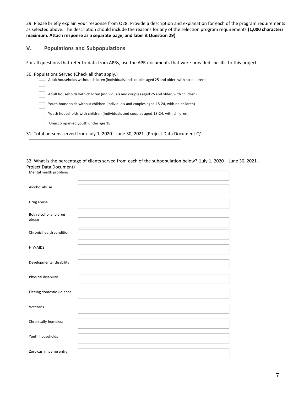29. Please briefly explain your response from Q28. Provide a description and explanation for each of the program requirements as selected above. The description should include the reasons for any of the selection program requirements.**(1,000 characters maximum. Attach response as a separate page, and label it Question 29)**

# **V. Populations and Subpopulations**

For all questions that refer to data from APRs, use the APR documents that were provided specific to this project.

#### 30. Populations Served (Check all that apply.)

| Adult households without children (individuals and couples aged 25 and older, with no children) |
|-------------------------------------------------------------------------------------------------|
| Adult households with children (individuals and couples aged 25 and older, with children)       |
| Youth households without children (individuals and couples aged 18-24, with no children)        |
| Youth households with children (individuals and couples aged 18-24, with children)              |
| Unaccompanied youth under age 18                                                                |
| 31. Total persons served from July 1, 2020 - June 30, 2021. (Project Data Document Q1           |

32. What is the percentage of clients served from each of the subpopulation below? (July 1, 2020 – June 30, 2021 - Project Data Document)

| Mental health problems         |  |  |
|--------------------------------|--|--|
| Alcohol abuse                  |  |  |
| Drug abuse                     |  |  |
| Both alcohol and drug<br>abuse |  |  |
| Chronic health condition       |  |  |
| HIV/AIDS                       |  |  |
| Developmental disability       |  |  |
| Physical disability            |  |  |
| Fleeing domestic violence      |  |  |
| Veterans                       |  |  |
| Chronically homeless           |  |  |
| Youth households               |  |  |
| Zero cash income entry         |  |  |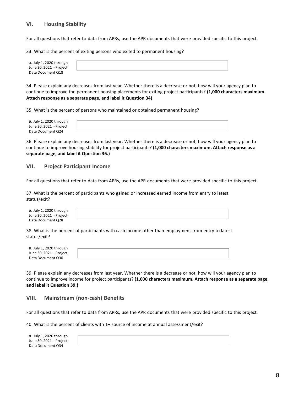# **VI. Housing Stability**

For all questions that refer to data from APRs, use the APR documents that were provided specific to this project.

33. What is the percent of exiting persons who exited to permanent housing?

| a. July 1, 2020 through |  |
|-------------------------|--|
| June 30, 2021 - Project |  |
| Data Document Q18       |  |

34. Please explain any decreases from last year. Whether there is a decrease or not, how will your agency plan to continue to improve the permanent housing placements for exiting project participants? **(1,000 characters maximum. Attach response as a separate page, and label it Question 34)**

35. What is the percent of persons who maintained or obtained permanent housing?

| a. July 1, 2020 through |  |
|-------------------------|--|
| June 30, 2021 - Project |  |
| Data Document Q24       |  |

36. Please explain any decreases from last year. Whether there is a decrease or not, how will your agency plan to continue to improve housing stability for project participants? **(1,000 characters maximum. Attach response as a separate page, and label it Question 36.)**

#### **VII. Project Participant Income**

For all questions that refer to data from APRs, use the APR documents that were provided specific to this project.

37. What is the percent of participants who gained or increased earned income from entry to latest status/exit?

| a. July 1, 2020 through |  |
|-------------------------|--|
| June 30, 2021 - Project |  |
| Data Document Q28       |  |

38. What is the percent of participants with cash income other than employment from entry to latest status/exit?

| a. July 1, 2020 through |  |
|-------------------------|--|
|                         |  |
| June 30, 2021 - Project |  |
|                         |  |
| Data Document Q30       |  |
|                         |  |

39. Please explain any decreases from last year. Whether there is a decrease or not, how will your agency plan to continue to improve income for project participants? **(1,000 characters maximum. Attach response as a separate page, and label it Question 39.)**

#### **VIII. Mainstream (non-cash) Benefits**

For all questions that refer to data from APRs, use the APR documents that were provided specific to this project.

40. What is the percent of clients with 1+ source of income at annual assessment/exit?

| a. July 1, 2020 through |  |
|-------------------------|--|
| June 30, 2021 - Project |  |
| Data Document Q34       |  |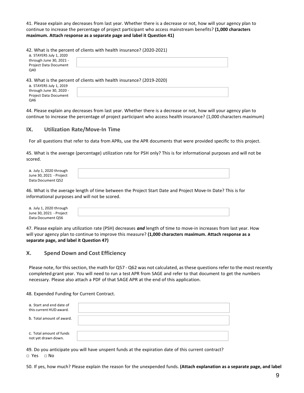41. Please explain any decreases from last year. Whether there is a decrease or not, how will your agency plan to continue to increase the percentage of project participant who access mainstream benefits? **(1,000 characters maximum. Attach response as a separate page and label it Question 41)**

42. What is the percent of clients with health insurance? (2020-2021)

| through June 30, 2021 -<br><b>Project Data Document</b> | a. STAYERS July 1, 2020 |  |  |
|---------------------------------------------------------|-------------------------|--|--|
|                                                         |                         |  |  |
|                                                         |                         |  |  |
| Q40                                                     |                         |  |  |

43. What is the percent of clients with health insurance? (2019-2020)

| a. STAYERS July 1, 2019      |  |
|------------------------------|--|
| through June 30, 2020 -      |  |
| <b>Project Data Document</b> |  |
| Q46                          |  |

44. Please explain any decreases from last year. Whether there is a decrease or not, how will your agency plan to continue to increase the percentage of project participant who access health insurance? (1,000 characters maximum)

#### **IX. Utilization Rate/Move-In Time**

For all questions that refer to data from APRs, use the APR documents that were provided specific to this project.

45. What is the average (percentage) utilization rate for PSH only? This is for informational purposes and will not be scored.

| a. July 1, 2020 through |  |
|-------------------------|--|
| June 30, 2021 - Project |  |
| Data Document Q52       |  |

46. What is the average length of time between the Project Start Date and Project Move-In Date? This is for informational purposes and will not be scored.

| a. July 1, 2020 through |  |
|-------------------------|--|
| June 30, 2021 - Project |  |
| Data Document Q56       |  |

47. Please explain any utilization rate (PSH) decreases *and* length of time to move-in increases from last year. How will your agency plan to continue to improve this measure? **(1,000 characters maximum. Attach response as a separate page, and label it Question 47)**

#### **X. Spend Down and Cost Efficiency**

Please note, for this section, the math for Q57 - Q62 was not calculated, as these questions refer to the most recently completed grant year. You will need to run a test APR from SAGE and refer to that document to get the numbers necessary. Please also attach a PDF of that SAGE APR at the end of this application.

48. Expended Funding for Current Contract.

| a. Start and end date of<br>this current HUD award. |  |
|-----------------------------------------------------|--|
| b. Total amount of award.                           |  |
|                                                     |  |
| c. Total amount of funds                            |  |
| not yet drawn down.                                 |  |

49. Do you anticipate you will have unspent funds at the expiration date of this current contract? □ Yes □ No

50. If yes, how much? Please explain the reason for the unexpended funds. **(Attach explanation as a separate page, and label**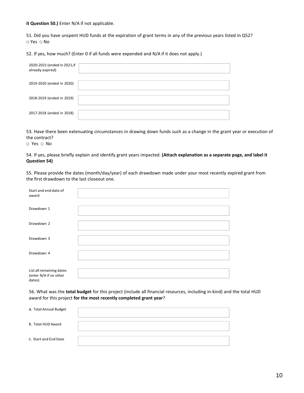#### **it Question 50.)** Enter N/A if not applicable.

51. Did you have unspent HUD funds at the expiration of grant terms in any of the previous years listed in Q52? □ Yes □ No

52. If yes, how much? (Enter 0 if all funds were expended and N/A if it does not apply.)

| 2020-2021 (ended in 2021, if<br>already expired) |  |
|--------------------------------------------------|--|
|                                                  |  |
| 2019-2020 (ended in 2020)                        |  |
|                                                  |  |
| 2018-2019 (ended in 2019)                        |  |
|                                                  |  |
| 2017-2018 (ended in 2018)                        |  |
|                                                  |  |

53. Have there been extenuating circumstances in drawing down funds such as a change in the grant year or execution of the contract?

□ Yes □ No

54. If yes, please briefly explain and identify grant years impacted. **(Attach explanation as a separate page, and label it Question 54)**

55. Please provide the dates (month/day/year) of each drawdown made under your most recently expired grant from the first drawdown to the last closeout one.

| Start and end date of<br>award                               |  |
|--------------------------------------------------------------|--|
| Drawdown 1                                                   |  |
| Drawdown 2                                                   |  |
| Drawdown 3                                                   |  |
| Drawdown 4                                                   |  |
| List all remaining dates<br>(enter N/A if no other<br>dates) |  |

56. What was the **total budget** for this project (include all financial resources, including in-kind) and the total HUD award for this project **for the most recently completed grant year**?

| a. Total Annual Budget |  |
|------------------------|--|
| b. Total HUD Award     |  |
| c. Start and End Date  |  |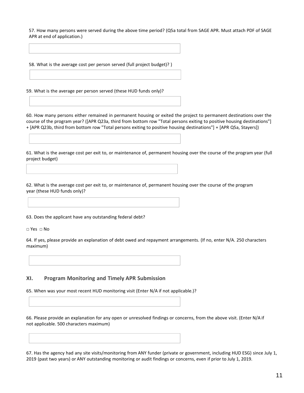57. How many persons were served during the above time period? (Q5a total from SAGE APR. Must attach PDF of SAGE APR at end of application.)

58. What is the average cost per person served (full project budget)? )

59. What is the average per person served (these HUD funds only)?

60. How many persons either remained in permanent housing or exited the project to permanent destinations over the course of the program year? ([APR Q23a, third from bottom row "Total persons exiting to positive housing destinations"] + [APR Q23b, third from bottom row "Total persons exiting to positive housing destinations"] + [APR Q5a, Stayers])

61. What is the average cost per exit to, or maintenance of, permanent housing over the course of the program year (full project budget)

62. What is the average cost per exit to, or maintenance of, permanent housing over the course of the program year (these HUD funds only)?

63. Does the applicant have any outstanding federal debt?

□ Yes □ No

64. If yes, please provide an explanation of debt owed and repayment arrangements. (If no, enter N/A. 250 characters maximum)

## **XI. Program Monitoring and Timely APR Submission**

65. When was your most recent HUD monitoring visit (Enter N/A if not applicable.)?

66. Please provide an explanation for any open or unresolved findings or concerns, from the above visit. (Enter N/A if not applicable. 500 characters maximum)

67. Has the agency had any site visits/monitoring from ANY funder (private or government, including HUD ESG) since July 1, 2019 (past two years) or ANY outstanding monitoring or audit findings or concerns, even if prior to July 1, 2019.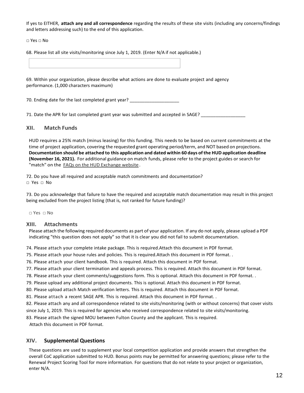If yes to EITHER, **attach any and all correspondence** regarding the results of these site visits (including any concerns/findings and letters addressing such) to the end of this application.

□ Yes □ No

68. Please list all site visits/monitoring since July 1, 2019. (Enter N/A if not applicable.)

69. Within your organization, please describe what actions are done to evaluate project and agency performance. (1,000 characters maximum)

70. Ending date for the last completed grant year?

71. Date the APR for last completed grant year was submitted and accepted in SAGE?

# **XII. Match Funds**

HUD requires a 25% match (minus leasing) for this funding. This needs to be based on current commitments at the time of project application, covering the requested grant operating period/term, and NOT based on projections. **Documentation should be attached to this application and dated within 60 days ofthe HUD application deadline (November 16, 2021).** For additional guidance on match funds, please refer to the project guides or search for "match" on the FAQs on the HUD [Exchange](https://www.hudexchange.info/coc/faqs) website.

72. Do you have all required and acceptable match commitments and documentation? □ Yes □ No

73. Do you acknowledge that failure to have the required and acceptable match documentation may result in this project being excluded from the project listing (that is, not ranked for future funding)?

□ Yes □ No

#### **XIII. Attachments**

Please attach the following required documents as part of your application. If any do not apply, please upload a PDF indicating "this question does not apply" so that it is clear you did not fail to submit documentation.

74. Please attach your complete intake package. This is required.Attach this document in PDF format.

75. Please attach your house rules and policies. This is required.Attach this document in PDF format. .

76. Please attach your client handbook. This is required. Attach this document in PDF format.

77. Please attach your client termination and appeals process. This is required. Attach this document in PDF format.

78. Please attach your client comments/suggestions form. This is optional. Attach this document in PDF format. .

79. Please upload any additional project documents. This is optional. Attach this document in PDF format.

80. Please upload attach Match verification letters. This is required. Attach this document in PDF format.

81. Please attach a recent SAGE APR. This is required. Attach this document in PDF format. .

82. Please attach any and all correspondence related to site visits/monitoring (with or without concerns) that cover visits

since July 1, 2019. This is required for agencies who received correspondence related to site visits/monitoring.

83. Please attach the signed MOU between [Fulton County and](https://partnersforhome.org/hud-funding/) the applicant. This is required.

Attach this document in PDF format.

# **XIV. Supplemental Questions**

These questions are used to supplement your local competition application and provide answers that strengthen the overall CoC application submitted to HUD. Bonus points may be permitted for answering questions; please refer to the Renewal Project Scoring Tool for more information. For questions that do not relate to your project or organization, enter N/A.